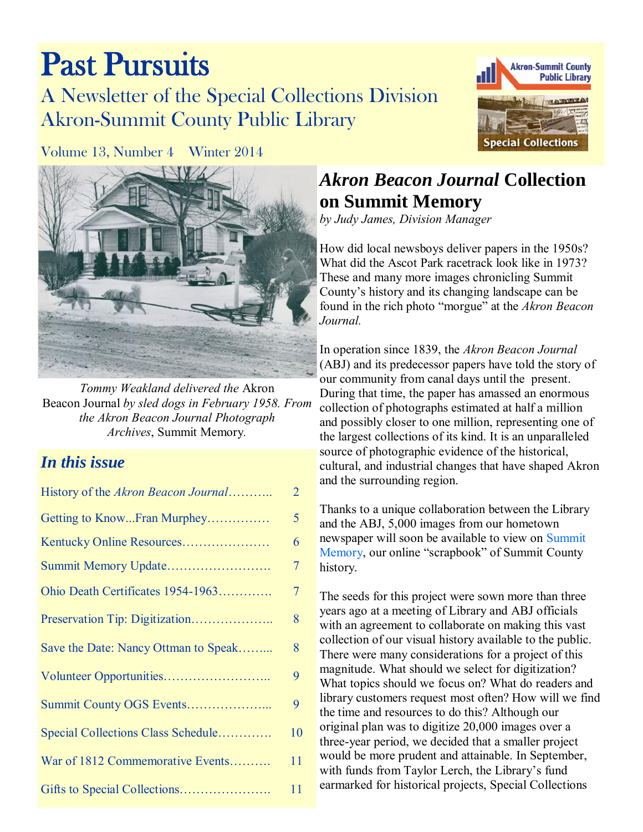# Past Pursuits A Newsletter of the Special Collections Division Akron-Summit County Public Library



Volume 13, Number 4 Winter 2014



*Tommy Weakland delivered the* Akron Beacon Journal *by sled dogs in February 1958. From the Akron Beacon Journal Photograph Archives*, Summit Memory*.* 

### *In this issue*

| History of the Akron Beacon Journal  | $\overline{2}$ |
|--------------------------------------|----------------|
| Getting to KnowFran Murphey          | 5              |
| Kentucky Online Resources            | 6              |
| Summit Memory Update                 | $\overline{7}$ |
| Ohio Death Certificates 1954-1963    | $\overline{7}$ |
| Preservation Tip: Digitization       | 8              |
| Save the Date: Nancy Ottman to Speak | 8              |
|                                      | 9              |
|                                      | 9              |
| Special Collections Class Schedule   | 10             |
| War of 1812 Commemorative Events     | 11             |
|                                      | 11             |

### *Akron Beacon Journal* **Collection on Summit Memory**

*by Judy James, Division Manager* 

How did local newsboys deliver papers in the 1950s? What did the Ascot Park racetrack look like in 1973? These and many more images chronicling Summit County's history and its changing landscape can be found in the rich photo "morgue" at the *Akron Beacon Journal.*

In operation since 1839, the *Akron Beacon Journal* (ABJ) and its predecessor papers have told the story of our community from canal days until the present. During that time, the paper has amassed an enormous collection of photographs estimated at half a million and possibly closer to one million, representing one of the largest collections of its kind. It is an unparalleled source of photographic evidence of the historical, cultural, and industrial changes that have shaped Akron and the surrounding region.

Thanks to a unique collaboration between the Library and the ABJ, 5,000 images from our hometown newspaper will soon be available to view on [Summit](http://www.summitmemory.org)  [Memory,](http://www.summitmemory.org) our online "scrapbook" of Summit County history.

The seeds for this project were sown more than three years ago at a meeting of Library and ABJ officials with an agreement to collaborate on making this vast collection of our visual history available to the public. There were many considerations for a project of this magnitude. What should we select for digitization? What topics should we focus on? What do readers and library customers request most often? How will we find the time and resources to do this? Although our original plan was to digitize 20,000 images over a three-year period, we decided that a smaller project would be more prudent and attainable. In September, with funds from Taylor Lerch, the Library's fund earmarked for historical projects, Special Collections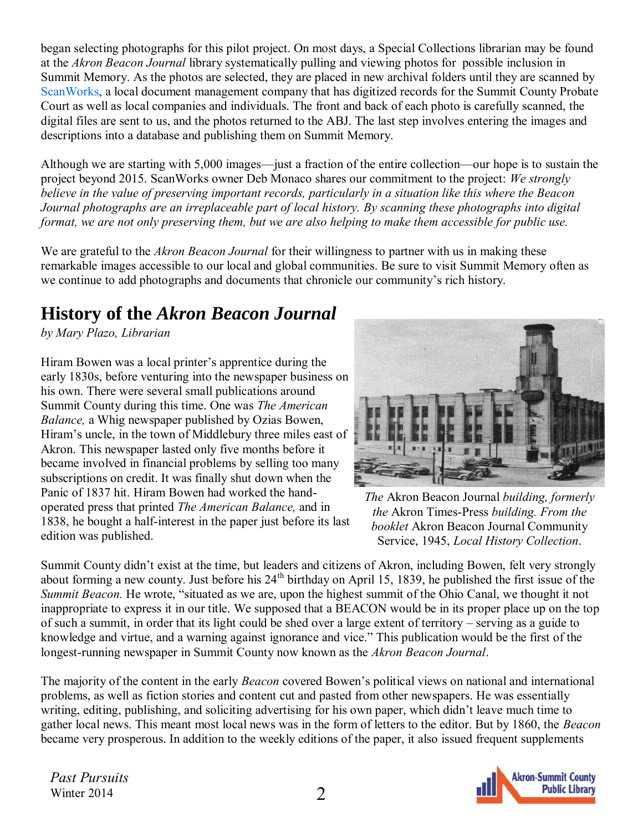<span id="page-1-0"></span>began selecting photographs for this pilot project. On most days, a Special Collections librarian may be found at the *Akron Beacon Journal* library systematically pulling and viewing photos for possible inclusion in Summit Memory. As the photos are selected, they are placed in new archival folders until they are scanned by [ScanWorks,](http://scanworksllc.com/) a local document management company that has digitized records for the Summit County Probate Court as well as local companies and individuals. The front and back of each photo is carefully scanned, the digital files are sent to us, and the photos returned to the ABJ. The last step involves entering the images and descriptions into a database and publishing them on Summit Memory.

Although we are starting with 5,000 images—just a fraction of the entire collection—our hope is to sustain the project beyond 2015. ScanWorks owner Deb Monaco shares our commitment to the project: *We strongly believe in the value of preserving important records, particularly in a situation like this where the Beacon Journal photographs are an irreplaceable part of local history. By scanning these photographs into digital format, we are not only preserving them, but we are also helping to make them accessible for public use.* 

We are grateful to the *Akron Beacon Journal* for their willingness to partner with us in making these remarkable images accessible to our local and global communities. Be sure to visit Summit Memory often as we continue to add photographs and documents that chronicle our community's rich history.

### **History of the** *Akron Beacon Journal*

*by Mary Plazo, Librarian*

Hiram Bowen was a local printer's apprentice during the early 1830s, before venturing into the newspaper business on his own. There were several small publications around Summit County during this time. One was *The American Balance,* a Whig newspaper published by Ozias Bowen, Hiram's uncle, in the town of Middlebury three miles east of Akron. This newspaper lasted only five months before it became involved in financial problems by selling too many subscriptions on credit. It was finally shut down when the Panic of 1837 hit. Hiram Bowen had worked the handoperated press that printed *The American Balance,* and in 1838, he bought a half-interest in the paper just before its last edition was published.



*The* Akron Beacon Journal *building, formerly the* Akron Times-Press *building. From the booklet* Akron Beacon Journal Community Service, 1945, *Local History Collection*.

Summit County didn't exist at the time, but leaders and citizens of Akron, including Bowen, felt very strongly about forming a new county. Just before his 24<sup>th</sup> birthday on April 15, 1839, he published the first issue of the *Summit Beacon.* He wrote, "situated as we are, upon the highest summit of the Ohio Canal, we thought it not inappropriate to express it in our title. We supposed that a BEACON would be in its proper place up on the top of such a summit, in order that its light could be shed over a large extent of territory – serving as a guide to knowledge and virtue, and a warning against ignorance and vice." This publication would be the first of the longest-running newspaper in Summit County now known as the *Akron Beacon Journal*.

The majority of the content in the early *Beacon* covered Bowen's political views on national and international problems, as well as fiction stories and content cut and pasted from other newspapers. He was essentially writing, editing, publishing, and soliciting advertising for his own paper, which didn't leave much time to gather local news. This meant most local news was in the form of letters to the editor. But by 1860, the *Beacon* became very prosperous. In addition to the weekly editions of the paper, it also issued frequent supplements

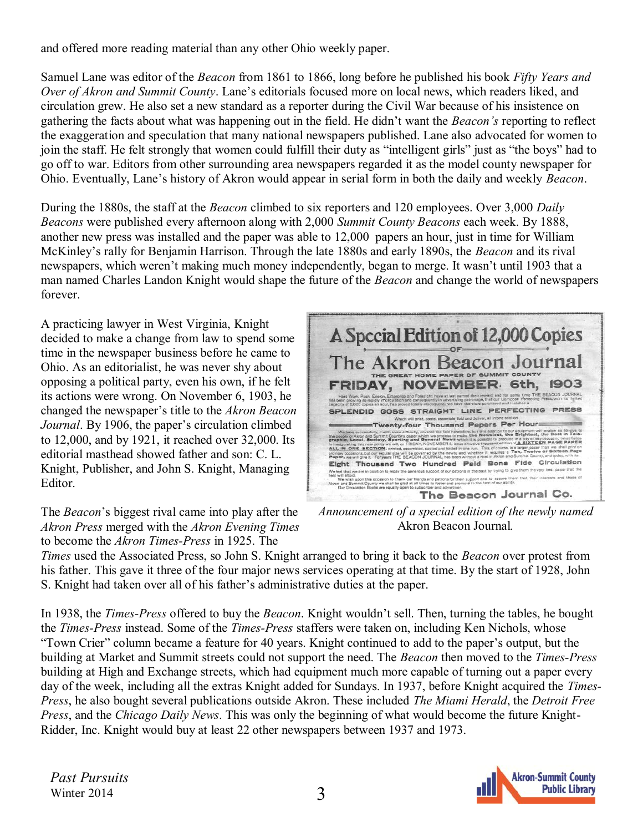and offered more reading material than any other Ohio weekly paper.

Samuel Lane was editor of the *Beacon* from 1861 to 1866, long before he published his book *Fifty Years and Over of Akron and Summit County*. Lane's editorials focused more on local news, which readers liked, and circulation grew. He also set a new standard as a reporter during the Civil War because of his insistence on gathering the facts about what was happening out in the field. He didn't want the *Beacon's* reporting to reflect the exaggeration and speculation that many national newspapers published. Lane also advocated for women to join the staff. He felt strongly that women could fulfill their duty as "intelligent girls" just as "the boys" had to go off to war. Editors from other surrounding area newspapers regarded it as the model county newspaper for Ohio. Eventually, Lane's history of Akron would appear in serial form in both the daily and weekly *Beacon*.

During the 1880s, the staff at the *Beacon* climbed to six reporters and 120 employees. Over 3,000 *Daily Beacons* were published every afternoon along with 2,000 *Summit County Beacons* each week. By 1888, another new press was installed and the paper was able to 12,000 papers an hour, just in time for William McKinley's rally for Benjamin Harrison. Through the late 1880s and early 1890s, the *Beacon* and its rival newspapers, which weren't making much money independently, began to merge. It wasn't until 1903 that a man named Charles Landon Knight would shape the future of the *Beacon* and change the world of newspapers forever.

A practicing lawyer in West Virginia, Knight decided to make a change from law to spend some time in the newspaper business before he came to Ohio. As an editorialist, he was never shy about opposing a political party, even his own, if he felt its actions were wrong. On November 6, 1903, he changed the newspaper's title to the *Akron Beacon Journal*. By 1906, the paper's circulation climbed to 12,000, and by 1921, it reached over 32,000. Its editorial masthead showed father and son: C. L. Knight, Publisher, and John S. Knight, Managing Editor.

The *Beacon*'s biggest rival came into play after the *Akron Press* merged with the *Akron Evening Times* to become the *Akron Times-Press* in 1925. The

A Special Edition of 12,000 Copies The Akron Beacon Journal THE GREAT HOME PAPER OF SUMMIT COUNTY 1903 FRIDAY, NOVEMBER 6th, vard and for some time THE BEACON JOURNAL<br>that our Campbell Perfecting Press, with its limited rians work, ri<br>has been growing s<br>sapacity of 8,000 c SPLENDID GOSS STRAIGHT LINE PERFECTING PRESS Twenty-four Thousand Papers Per Hour We have accessibly, with some diffusity. TO UP STATE TO THE CALC THE STATE IN THE SOLUTION OF THE CALC THE STATE IS A CONTROLLED TO A STATE OF THE CALC THE STATE OF THE CALC THE STATE OF THE STATE OF THE STATE OF THE STATE Eight Thousand Two Hundred Pald Bona Fide Circulation sort of our patrons in the past by trying to give them the very best paper that t .<br>upon this occasion to thank our friends and patrons for their support and to assure them that their interests<br>mmit County we shall be giad at all times to fester and promote to the best of our ability.<br>letion Ronks are e The Beacon Journal Co.

*Announcement of a special edition of the newly named*  Akron Beacon Journal*.* 

*Times* used the Associated Press, so John S. Knight arranged to bring it back to the *Beacon* over protest from his father. This gave it three of the four major news services operating at that time. By the start of 1928, John S. Knight had taken over all of his father's administrative duties at the paper.

In 1938, the *Times-Press* offered to buy the *Beacon*. Knight wouldn't sell. Then, turning the tables, he bought the *Times-Press* instead. Some of the *Times-Press* staffers were taken on, including Ken Nichols, whose "Town Crier" column became a feature for 40 years. Knight continued to add to the paper's output, but the building at Market and Summit streets could not support the need. The *Beacon* then moved to the *Times-Press* building at High and Exchange streets, which had equipment much more capable of turning out a paper every day of the week, including all the extras Knight added for Sundays. In 1937, before Knight acquired the *Times-Press*, he also bought several publications outside Akron. These included *The Miami Herald*, the *Detroit Free Press*, and the *Chicago Daily News*. This was only the beginning of what would become the future Knight-Ridder, Inc. Knight would buy at least 22 other newspapers between 1937 and 1973.

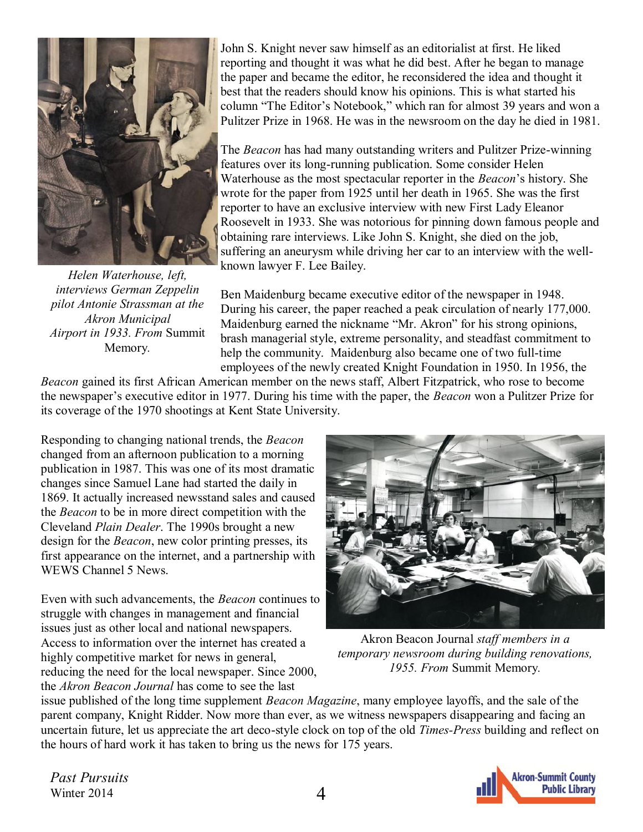

*Helen Waterhouse, left, interviews German Zeppelin pilot Antonie Strassman at the Akron Municipal Airport in 1933. From* Summit Memory*.* 

John S. Knight never saw himself as an editorialist at first. He liked reporting and thought it was what he did best. After he began to manage the paper and became the editor, he reconsidered the idea and thought it best that the readers should know his opinions. This is what started his column "The Editor's Notebook," which ran for almost 39 years and won a Pulitzer Prize in 1968. He was in the newsroom on the day he died in 1981.

The *Beacon* has had many outstanding writers and Pulitzer Prize-winning features over its long-running publication. Some consider Helen Waterhouse as the most spectacular reporter in the *Beacon*'s history. She wrote for the paper from 1925 until her death in 1965. She was the first reporter to have an exclusive interview with new First Lady Eleanor Roosevelt in 1933. She was notorious for pinning down famous people and obtaining rare interviews. Like John S. Knight, she died on the job, suffering an aneurysm while driving her car to an interview with the wellknown lawyer F. Lee Bailey.

Ben Maidenburg became executive editor of the newspaper in 1948. During his career, the paper reached a peak circulation of nearly 177,000. Maidenburg earned the nickname "Mr. Akron" for his strong opinions, brash managerial style, extreme personality, and steadfast commitment to help the community. Maidenburg also became one of two full-time employees of the newly created Knight Foundation in 1950. In 1956, the

*Beacon* gained its first African American member on the news staff, Albert Fitzpatrick, who rose to become the newspaper's executive editor in 1977. During his time with the paper, the *Beacon* won a Pulitzer Prize for its coverage of the 1970 shootings at Kent State University.

Responding to changing national trends, the *Beacon* changed from an afternoon publication to a morning publication in 1987. This was one of its most dramatic changes since Samuel Lane had started the daily in 1869. It actually increased newsstand sales and caused the *Beacon* to be in more direct competition with the Cleveland *Plain Dealer*. The 1990s brought a new design for the *Beacon*, new color printing presses, its first appearance on the internet, and a partnership with WEWS Channel 5 News.

Even with such advancements, the *Beacon* continues to struggle with changes in management and financial issues just as other local and national newspapers. Access to information over the internet has created a highly competitive market for news in general, reducing the need for the local newspaper. Since 2000, the *Akron Beacon Journal* has come to see the last



Akron Beacon Journal *staff members in a temporary newsroom during building renovations, 1955. From* Summit Memory*.* 

issue published of the long time supplement *Beacon Magazine*, many employee layoffs, and the sale of the parent company, Knight Ridder. Now more than ever, as we witness newspapers disappearing and facing an uncertain future, let us appreciate the art deco-style clock on top of the old *Times-Press* building and reflect on the hours of hard work it has taken to bring us the news for 175 years.

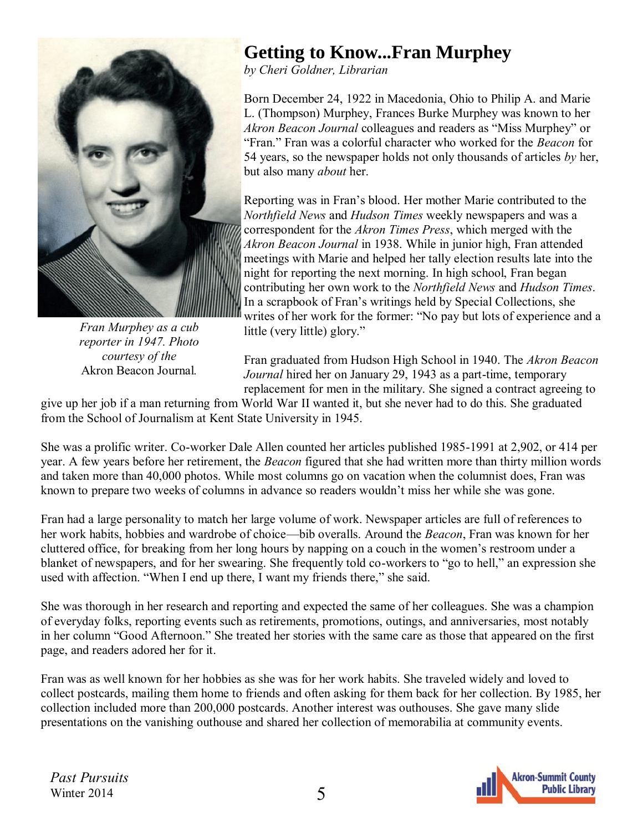<span id="page-4-0"></span>

*Fran Murphey as a cub reporter in 1947. Photo courtesy of the*  Akron Beacon Journal*.* 

### **Getting to Know...Fran Murphey**

*by Cheri Goldner, Librarian* 

Born December 24, 1922 in Macedonia, Ohio to Philip A. and Marie L. (Thompson) Murphey, Frances Burke Murphey was known to her *Akron Beacon Journal* colleagues and readers as "Miss Murphey" or "Fran." Fran was a colorful character who worked for the *Beacon* for 54 years, so the newspaper holds not only thousands of articles *by* her, but also many *about* her.

Reporting was in Fran's blood. Her mother Marie contributed to the *Northfield News* and *Hudson Times* weekly newspapers and was a correspondent for the *Akron Times Press*, which merged with the *Akron Beacon Journal* in 1938. While in junior high, Fran attended meetings with Marie and helped her tally election results late into the night for reporting the next morning. In high school, Fran began contributing her own work to the *Northfield News* and *Hudson Times*. In a scrapbook of Fran's writings held by Special Collections, she writes of her work for the former: "No pay but lots of experience and a little (very little) glory."

Fran graduated from Hudson High School in 1940. The *Akron Beacon Journal* hired her on January 29, 1943 as a part-time, temporary replacement for men in the military. She signed a contract agreeing to

give up her job if a man returning from World War II wanted it, but she never had to do this. She graduated from the School of Journalism at Kent State University in 1945.

She was a prolific writer. Co-worker Dale Allen counted her articles published 1985-1991 at 2,902, or 414 per year. A few years before her retirement, the *Beacon* figured that she had written more than thirty million words and taken more than 40,000 photos. While most columns go on vacation when the columnist does, Fran was known to prepare two weeks of columns in advance so readers wouldn't miss her while she was gone.

Fran had a large personality to match her large volume of work. Newspaper articles are full of references to her work habits, hobbies and wardrobe of choice—bib overalls. Around the *Beacon*, Fran was known for her cluttered office, for breaking from her long hours by napping on a couch in the women's restroom under a blanket of newspapers, and for her swearing. She frequently told co-workers to "go to hell," an expression she used with affection. "When I end up there, I want my friends there," she said.

She was thorough in her research and reporting and expected the same of her colleagues. She was a champion of everyday folks, reporting events such as retirements, promotions, outings, and anniversaries, most notably in her column "Good Afternoon." She treated her stories with the same care as those that appeared on the first page, and readers adored her for it.

Fran was as well known for her hobbies as she was for her work habits. She traveled widely and loved to collect postcards, mailing them home to friends and often asking for them back for her collection. By 1985, her collection included more than 200,000 postcards. Another interest was outhouses. She gave many slide presentations on the vanishing outhouse and shared her collection of memorabilia at community events.

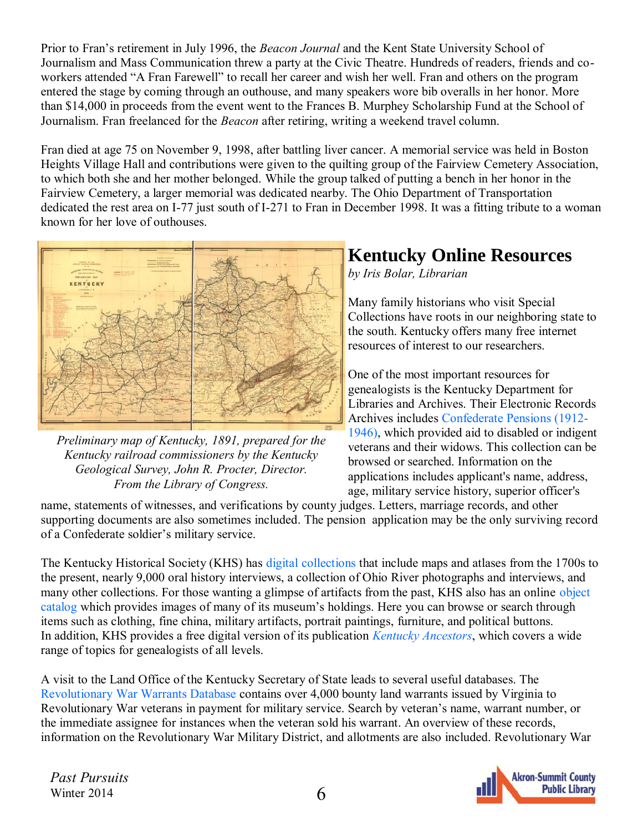<span id="page-5-0"></span>Prior to Fran's retirement in July 1996, the *Beacon Journal* and the Kent State University School of Journalism and Mass Communication threw a party at the Civic Theatre. Hundreds of readers, friends and coworkers attended "A Fran Farewell" to recall her career and wish her well. Fran and others on the program entered the stage by coming through an outhouse, and many speakers wore bib overalls in her honor. More than \$14,000 in proceeds from the event went to the Frances B. Murphey Scholarship Fund at the School of Journalism. Fran freelanced for the *Beacon* after retiring, writing a weekend travel column.

Fran died at age 75 on November 9, 1998, after battling liver cancer. A memorial service was held in Boston Heights Village Hall and contributions were given to the quilting group of the Fairview Cemetery Association, to which both she and her mother belonged. While the group talked of putting a bench in her honor in the Fairview Cemetery, a larger memorial was dedicated nearby. The Ohio Department of Transportation dedicated the rest area on I-77 just south of I-271 to Fran in December 1998. It was a fitting tribute to a woman known for her love of outhouses.



*Preliminary map of Kentucky, 1891, prepared for the Kentucky railroad commissioners by the Kentucky Geological Survey, John R. Procter, Director. From the Library of Congress.* 

### **Kentucky Online Resources**

*by Iris Bolar, Librarian* 

Many family historians who visit Special Collections have roots in our neighboring state to the south. Kentucky offers many free internet resources of interest to our researchers.

One of the most important resources for genealogists is the Kentucky Department for Libraries and Archives. Their Electronic Records Archives includes [Confederate Pensions \(1912-](https://dspace.kdla.ky.gov/xmlui/handle/10602/2375) [1946\),](https://dspace.kdla.ky.gov/xmlui/handle/10602/2375) which provided aid to disabled or indigent veterans and their widows. This collection can be browsed or searched. Information on the applications includes applicant's name, address, age, military service history, superior officer's

name, statements of witnesses, and verifications by county judges. Letters, marriage records, and other supporting documents are also sometimes included. The pension application may be the only surviving record of a Confederate soldier's military service.

The Kentucky Historical Society (KHS) has [digital collections](http://www.kyhistory.com/) that include maps and atlases from the 1700s to the present, nearly 9,000 oral history interviews, a collection of Ohio River photographs and interviews, and many other collections. For those wanting a glimpse of artifacts from the past, KHS also has an online [object](http://kyhistory.pastperfect-online.com/35577cgi/mweb.exe?request=ks)  [catalog w](http://kyhistory.pastperfect-online.com/35577cgi/mweb.exe?request=ks)hich provides images of many of its museum's holdings. Here you can browse or search through items such as clothing, fine china, military artifacts, portrait paintings, furniture, and political buttons. In addition, KHS provides a free digital version of its publication *[Kentucky Ancestors](http://kentuckyancestors.org/)*, which covers a wide range of topics for genealogists of all levels.

A visit to the Land Office of the Kentucky Secretary of State leads to several useful databases. The [Revolutionary War Warrants Database](http://www.sos.ky.gov/admin/land/military/revwar/Pages/default.aspx) contains over 4,000 bounty land warrants issued by Virginia to Revolutionary War veterans in payment for military service. Search by veteran's name, warrant number, or the immediate assignee for instances when the veteran sold his warrant. An overview of these records, information on the Revolutionary War Military District, and allotments are also included. Revolutionary War

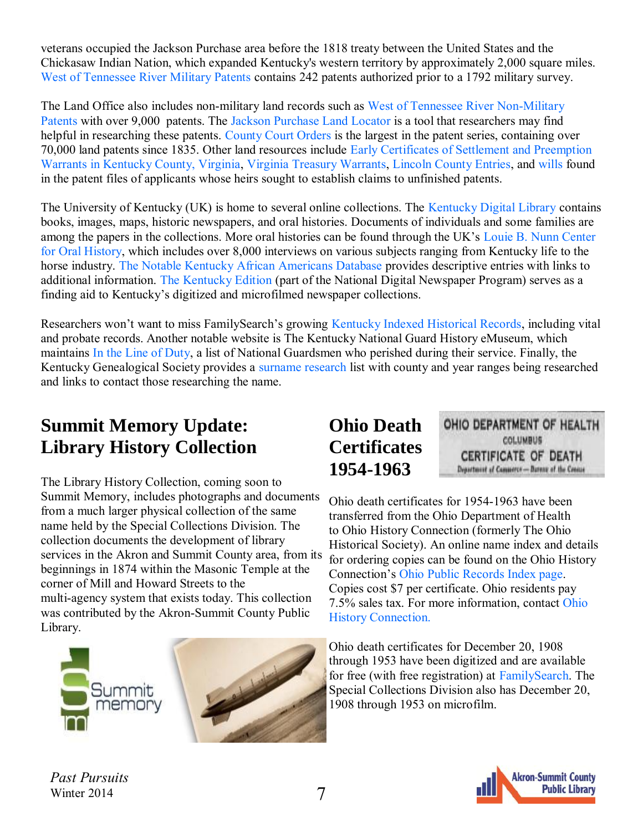<span id="page-6-0"></span>veterans occupied the Jackson Purchase area before the 1818 treaty between the United States and the Chickasaw Indian Nation, which expanded Kentucky's western territory by approximately 2,000 square miles. [West of Tennessee River Military Patents](http://www.sos.ky.gov/admin/land/military/wtrpatents/Pages/default.aspx) contains 242 patents authorized prior to a 1792 military survey.

The Land Office also includes non-military land records such as [West of Tennessee River Non-Military](http://www.sos.ky.gov/admin/land/non-military/patents/wtrnonmilitary/Pages/default.aspx)  [Patents w](http://www.sos.ky.gov/admin/land/non-military/patents/wtrnonmilitary/Pages/default.aspx)ith over 9,000 patents. The [Jackson Purchase Land Locator](http://apps.sos.ky.gov/land/nonmilitary/jacksonpurchase/) is a tool that researchers may find helpful in researching these patents. [County Court Orders i](http://www.sos.ky.gov/admin/land/non-military/patents/ccorders/Pages/default.aspx)s the largest in the patent series, containing over 70,000 land patents since 1835. Other land resources include [Early Certificates of Settlement and Preemption](http://apps.sos.ky.gov/land/nonmilitary/settlements/)  [Warrants in Kentucky County, Virginia,](http://apps.sos.ky.gov/land/nonmilitary/settlements/) [Virginia Treasury Warrants,](http://www.sos.ky.gov/admin/land/non-military/vatreasury/Pages/default.aspx) [Lincoln County Entries,](http://www.sos.ky.gov/admin/land/non-military/lincoln/Pages/default.aspx) and [wills](http://www.sos.ky.gov/admin/land/non-military/wills/Pages/default.aspx) found in the patent files of applicants whose heirs sought to establish claims to unfinished patents.

The University of Kentucky (UK) is home to several online collections. The [Kentucky Digital Library c](http://kdl.kyvl.org/)ontains books, images, maps, historic newspapers, and oral histories. Documents of individuals and some families are among the papers in the collections. More oral histories can be found through the UK's [Louie B. Nunn Center](http://libraries.uky.edu/libpage.php?lweb_id=11&llib_id=13<ab_id=1368)  [for Oral History,](http://libraries.uky.edu/libpage.php?lweb_id=11&llib_id=13<ab_id=1368) which includes over 8,000 interviews on various subjects ranging from Kentucky life to the horse industry. [The Notable Kentucky African Americans Database](http://nkaa.uky.edu/index.php) provides descriptive entries with links to additional information. [The Kentucky Edition](http://www.uky.edu/Libraries/NDNP/welcome.html) (part of the National Digital Newspaper Program) serves as a finding aid to Kentucky's digitized and microfilmed newspaper collections.

Researchers won't want to miss FamilySearch's growing [Kentucky Indexed Historical Records,](https://familysearch.org/search/collection/location/36?region=United%20States) including vital and probate records. Another notable website is The Kentucky National Guard History eMuseum, which maintains [In the Line of Duty,](http://kynghistory.ky.gov/people/lodsummary.htm) a list of National Guardsmen who perished during their service. Finally, the Kentucky Genealogical Society provides a [surname research](http://www.kygs.org/cpage.php?pt=32) list with county and year ranges being researched and links to contact those researching the name.

### **Summit Memory Update: Library History Collection**

The Library History Collection, coming soon to Summit Memory, includes photographs and documents from a much larger physical collection of the same name held by the Special Collections Division. The collection documents the development of library services in the Akron and Summit County area, from its beginnings in 1874 within the Masonic Temple at the corner of Mill and Howard Streets to the multi-agency system that exists today. This collection was contributed by the Akron-Summit County Public Library.



### **Ohio Death Certificates 1954-1963**

OHIO DEPARTMENT OF HEALTH COLUMBUS **CERTIFICATE OF DEATH** Department of Camperco-Bureau of the Crosse

Ohio death certificates for 1954-1963 have been transferred from the Ohio Department of Health to Ohio History Connection (formerly The Ohio Historical Society). An online name index and details for ordering copies can be found on the Ohio History Connection's [Ohio Public Records Index page.](http://apps.ohiohistory.org/death/) Copies cost \$7 per certificate. Ohio residents pay 7.5% sales tax. For [more information,](http://www.ohiohistory.org/collections--archives/archives-library/copy-requests) contact [Ohio](http://www.ohiohistory.org/collections--archives/archives-library/copy-requests)  [History Connection.](http://www.ohiohistory.org/collections--archives/archives-library/copy-requests)

Ohio death certificates for December 20, 1908 through 1953 have been digitized and are available for free (with free registration) at [FamilySearch.](https://familysearch.org/search/collection/1307272) The Special Collections Division also has December 20, 1908 through 1953 on microfilm.

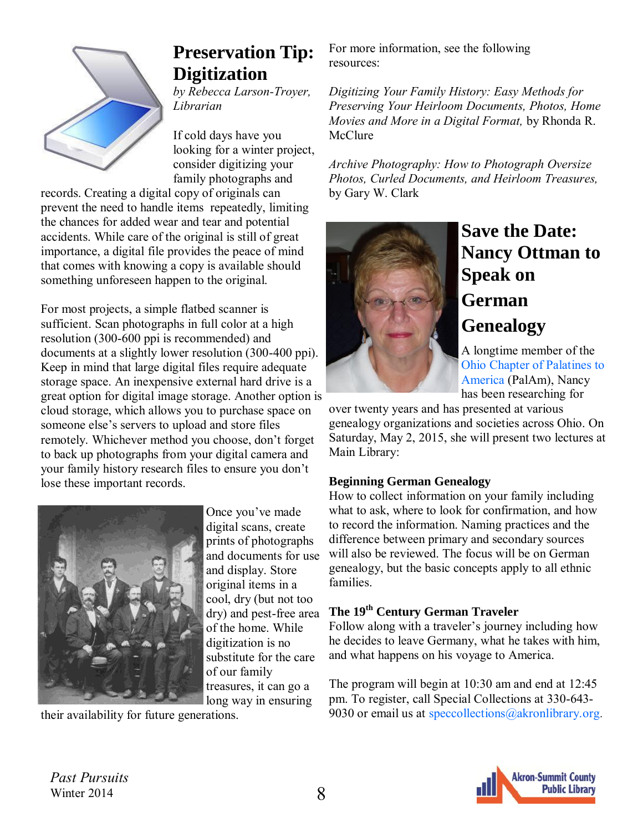<span id="page-7-0"></span>

## **Preservation Tip: Digitization**

*by Rebecca Larson-Troyer, Librarian* 

If cold days have you looking for a winter project, consider digitizing your family photographs and

records. Creating a digital copy of originals can prevent the need to handle items repeatedly, limiting the chances for added wear and tear and potential accidents. While care of the original is still of great importance, a digital file provides the peace of mind that comes with knowing a copy is available should something unforeseen happen to the original.

For most projects, a simple flatbed scanner is sufficient. Scan photographs in full color at a high resolution (300-600 ppi is recommended) and documents at a slightly lower resolution (300-400 ppi). Keep in mind that large digital files require adequate storage space. An inexpensive external hard drive is a great option for digital image storage. Another option is cloud storage, which allows you to purchase space on someone else's servers to upload and store files remotely. Whichever method you choose, don't forget to back up photographs from your digital camera and your family history research files to ensure you don't lose these important records.



Once you've made digital scans, create prints of photographs and documents for use and display. Store original items in a cool, dry (but not too dry) and pest-free area of the home. While digitization is no substitute for the care of our family treasures, it can go a long way in ensuring

their availability for future generations.

For more information, see the following resources:

*Digitizing Your Family History: Easy Methods for Preserving Your Heirloom Documents, Photos, Home Movies and More in a Digital Format,* by Rhonda R. McClure

*Archive Photography: How to Photograph Oversize Photos, Curled Documents, and Heirloom Treasures,*  by Gary W. Clark



# **Save the Date: Nancy Ottman to Speak on German Genealogy**

A longtime member of the [Ohio Chapter of Palatines to](https://oh-palam.org/)  [America](https://oh-palam.org/) (PalAm), Nancy has been researching for

over twenty years and has presented at various genealogy organizations and societies across Ohio. On Saturday, May 2, 2015, she will present two lectures at Main Library:

#### **Beginning German Genealogy**

How to collect information on your family including what to ask, where to look for confirmation, and how to record the information. Naming practices and the difference between primary and secondary sources will also be reviewed. The focus will be on German genealogy, but the basic concepts apply to all ethnic families.

#### **The 19th Century German Traveler**

Follow along with a traveler's journey including how he decides to leave Germany, what he takes with him, and what happens on his voyage to America.

The program will begin at 10:30 am and end at 12:45 pm. To register, call Special Collections at 330-643 9030 or email us at [speccollections@akronlibrary.org.](mailto:speccollections@akronlibrary.org)

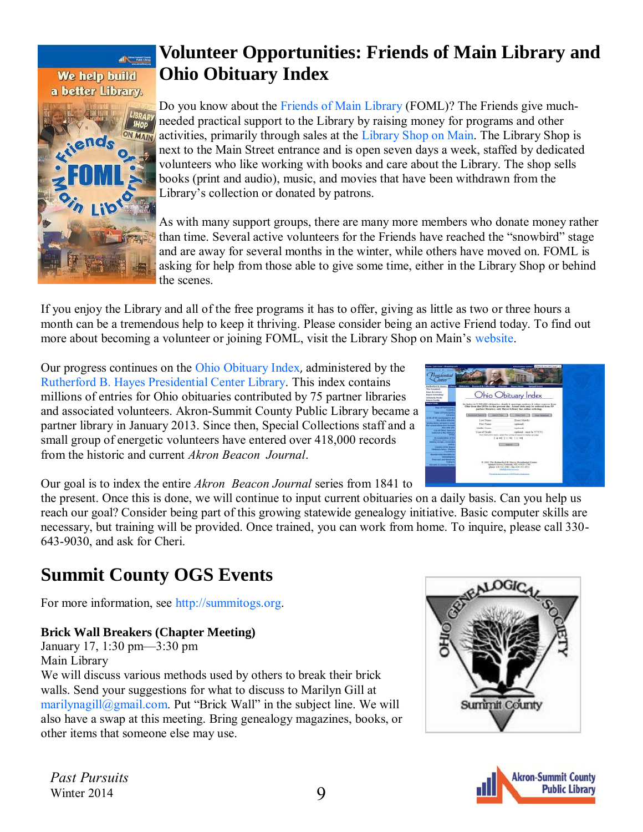#### <span id="page-8-0"></span>al Cassa We help build a better Library.



### **Volunteer Opportunities: Friends of Main Library and Ohio Obituary Index**

Do you know about the [Friends of Main Library](http://libraryshop.akronlibrary.org/friends-of-main-library/) (FOML)? The Friends give muchneeded practical support to the Library by raising money for programs and other activities, primarily through sales at the [Library Shop on Main.](http://libraryshop.akronlibrary.org/) The Library Shop is next to the Main Street entrance and is open seven days a week, staffed by dedicated volunteers who like working with books and care about the Library. The shop sells books (print and audio), music, and movies that have been withdrawn from the Library's collection or donated by patrons.

As with many support groups, there are many more members who donate money rather than time. Several active volunteers for the Friends have reached the "snowbird" stage and are away for several months in the winter, while others have moved on. FOML is asking for help from those able to give some time, either in the Library Shop or behind the scenes.

If you enjoy the Library and all of the free programs it has to offer, giving as little as two or three hours a month can be a tremendous help to keep it thriving. Please consider being an active Friend today. To find out more about becoming a volunteer or joining FOML, visit the Library Shop on Main's [website.](http://libraryshop.akronlibrary.org/volunteer/)

Our progress continues on the [Ohio Obituary Index](http://index.rbhayes.org/hayes/index/), administered by the [Rutherford B. Hayes Presidential Center Library.](http://www.rbhayes.org/hayes/library/) This index contains millions of entries for Ohio obituaries contributed by 75 partner libraries and associated volunteers. Akron-Summit County Public Library became a partner library in January 2013. Since then, Special Collections staff and a small group of energetic volunteers have entered over 418,000 records from the historic and current *Akron Beacon Journal*.

| tion (Arts week) character cant<br><b>BASE-LE-14</b><br><b>Marian</b>                                                              |                                             | <b>Anthropogness comment</b><br>There do you meet to get a                                                                                                                                                              |  |
|------------------------------------------------------------------------------------------------------------------------------------|---------------------------------------------|-------------------------------------------------------------------------------------------------------------------------------------------------------------------------------------------------------------------------|--|
| <b>Bufferful X House</b><br>The Provisibant                                                                                        | Library (Militaneous Associated Collections | <b><i><u>Semant Council</u></i></b><br><b>Based Forms</b><br><b>Photoshop</b>                                                                                                                                           |  |
| <b>Exace &amp; Letters</b><br><b>Naures Connections</b><br><b>Schulzsche Struke</b><br><b>Keyers Easy Re</b><br><b>Brown Looks</b> |                                             | Ohio Obituary Index                                                                                                                                                                                                     |  |
| <b>Shape of Fourteenance</b><br><b>Expertise</b>                                                                                   |                                             | An index to 3,200,000 chilosofer, durch & marriage polices & other seators from<br>Ohio ince the DUDs to the accuration. Actual shift was be address from 64<br>portion theater, can three Library has called ordering. |  |
| <b>Culture of Engineering Eng</b><br>Literature<br>A trailer than a particular on and                                              | <b>Advanced Reside</b><br><b>Search Tax</b> | <b>Wind Tard</b><br><b>MAN FRIDAYAY</b>                                                                                                                                                                                 |  |
| <b>The Artist Industrial</b>                                                                                                       | Lee Nese                                    | (Tours Mayk)                                                                                                                                                                                                            |  |
| makes closely as four by action<br><b>Elix debugi relais pelni (bringe</b> )<br><b>Mila laugh come</b>                             | First Name<br><b>Hiddle Name</b>            | <b>Exercised</b><br>Lapticoud!                                                                                                                                                                                          |  |
| <b>Lon of Union Seattless</b><br><b>Studentshot by Nov 170 phones</b>                                                              | Year of Doub                                | Captional - town by VVVV)<br>Exec Pra N-2010 Sultive Holes Pay Inchine of Sending to Multiply Sulty apply.                                                                                                              |  |
| An accidentation of the<br>delegany reduce criterion.<br><b>MARYLE BURN, JOSTATES</b><br><b>Light</b>                              |                                             | I as well 2 clo bill 2 co and<br><b>STATISTICS</b>                                                                                                                                                                      |  |
| <b><i><u>SEARCH OF THE MAKER</u></i></b><br><b><i>Electricary Indian - Electric</i></b><br><b>CALL AND</b>                         |                                             |                                                                                                                                                                                                                         |  |
| op deala bo's ma<br>144444<br><b>General top for a</b>                                                                             |                                             |                                                                                                                                                                                                                         |  |
| <b><i><u>Died and</u></i></b> was related<br><b><i><u>Experience</u></i></b>                                                       |                                             | @ 2001 The Ratherford S. Mares Presidential Creater                                                                                                                                                                     |  |
| <b>Electronical &amp; Concerts Plantices</b>                                                                                       |                                             | Sakeaul Grover, Frencout, OH 41439-7795.<br>allow 618, 131, 2081. Eas 418, 232, 4952<br><b>Mall Schlores</b> and                                                                                                        |  |
|                                                                                                                                    |                                             | The prices are added as to be a late of the formation<br>non                                                                                                                                                            |  |
|                                                                                                                                    |                                             |                                                                                                                                                                                                                         |  |

Our goal is to index the entire *Akron Beacon Journal* series from 1841 to

the present. Once this is done, we will continue to input current obituaries on a daily basis. Can you help us reach our goal? Consider being part of this growing statewide genealogy initiative. Basic computer skills are necessary, but training will be provided. Once trained, you can work from home. To inquire, please call 330- 643-9030, and ask for Cheri.

# **Summit County OGS Events**

For more information, see [http://summitogs.org.](http://summitogs.org/) 

#### **Brick Wall Breakers (Chapter Meeting)**

January 17, 1:30 pm—3:30 pm Main Library We will discuss various methods used by others to break their brick walls. Send your suggestions for what to discuss to Marilyn Gill at [marilynagill@gmail.com.](mailto:marilynagill@gmail.com) Put "Brick Wall" in the subject line. We will also have a swap at this meeting. Bring genealogy magazines, books, or other items that someone else may use.



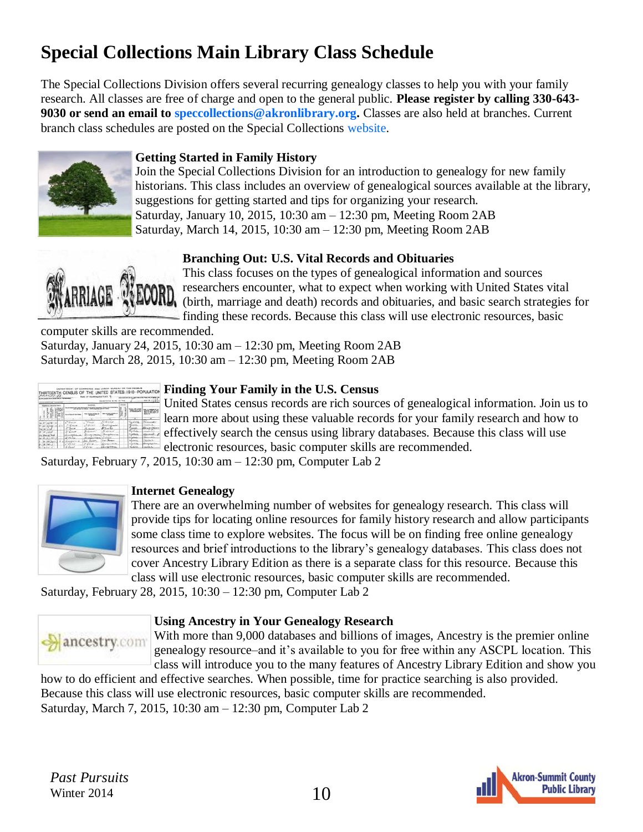# **Special Collections Main Library Class Schedule**

The Special Collections Division offers several recurring genealogy classes to help you with your family research. All classes are free of charge and open to the general public. **Please register by calling 330-643- 9030 or send an email to [speccollections@akronlibrary.org.](mailto:speccollections@akronlibrary.org)** Classes are also held at branches. Current branch class schedules are posted on the Special Collections [website.](http://sc.akronlibrary.org/classes-events/) 



#### **Getting Started in Family History**

Join the Special Collections Division for an introduction to genealogy for new family historians. This class includes an overview of genealogical sources available at the library, suggestions for getting started and tips for organizing your research. Saturday, January 10, 2015, 10:30 am – 12:30 pm, Meeting Room 2AB Saturday, March 14, 2015, 10:30 am – 12:30 pm, Meeting Room 2AB

#### **Branching Out: U.S. Vital Records and Obituaries**



This class focuses on the types of genealogical information and sources researchers encounter, what to expect when working with United States vital INU<sub>N</sub> (birth, marriage and death) records and obituaries, and basic search strategies for finding these records. Because this class will use electronic resources, basic

computer skills are recommended.

Saturday, January 24, 2015, 10:30 am – 12:30 pm, Meeting Room 2AB Saturday, March 28, 2015, 10:30 am – 12:30 pm, Meeting Room 2AB

|                              |        |               | <b>PLACK</b><br><b>ENGINEERS</b> |                |                         |
|------------------------------|--------|---------------|----------------------------------|----------------|-------------------------|
| <b>Handon Statement</b><br>m | 110311 |               |                                  |                |                         |
|                              |        |               |                                  |                |                         |
|                              |        |               |                                  |                |                         |
|                              |        |               |                                  |                |                         |
|                              |        |               |                                  |                |                         |
| хa                           | $-1$   | si da<br>,,,, | تقتسة<br>a an                    |                |                         |
| 28                           |        |               |                                  |                |                         |
|                              |        |               |                                  |                |                         |
|                              |        |               |                                  |                |                         |
|                              |        |               |                                  | on the other   | <b>Clean on Artists</b> |
|                              | ---    |               | a run firm                       | <b>ALCOHOL</b> | <b>CAMBRIDGE</b>        |

#### **Finding Your Family in the U.S. Census**

United States census records are rich sources of genealogical information. Join us to learn more about using these valuable records for your family research and how to effectively search the census using library databases. Because this class will use electronic resources, basic computer skills are recommended.

Saturday, February 7, 2015, 10:30 am – 12:30 pm, Computer Lab 2



#### **Internet Genealogy**

There are an overwhelming number of websites for genealogy research. This class will provide tips for locating online resources for family history research and allow participants some class time to explore websites. The focus will be on finding free online genealogy resources and brief introductions to the library's genealogy databases. This class does not cover Ancestry Library Edition as there is a separate class for this resource. Because this class will use electronic resources, basic computer skills are recommended.

Saturday, February 28, 2015, 10:30 – 12:30 pm, Computer Lab 2



#### **Using Ancestry in Your Genealogy Research**

With more than 9,000 databases and billions of images, Ancestry is the premier online genealogy resource–and it's available to you for free within any ASCPL location. This class will introduce you to the many features of Ancestry Library Edition and show you

how to do efficient and effective searches. When possible, time for practice searching is also provided. Because this class will use electronic resources, basic computer skills are recommended. Saturday, March 7, 2015, 10:30 am – 12:30 pm, Computer Lab 2

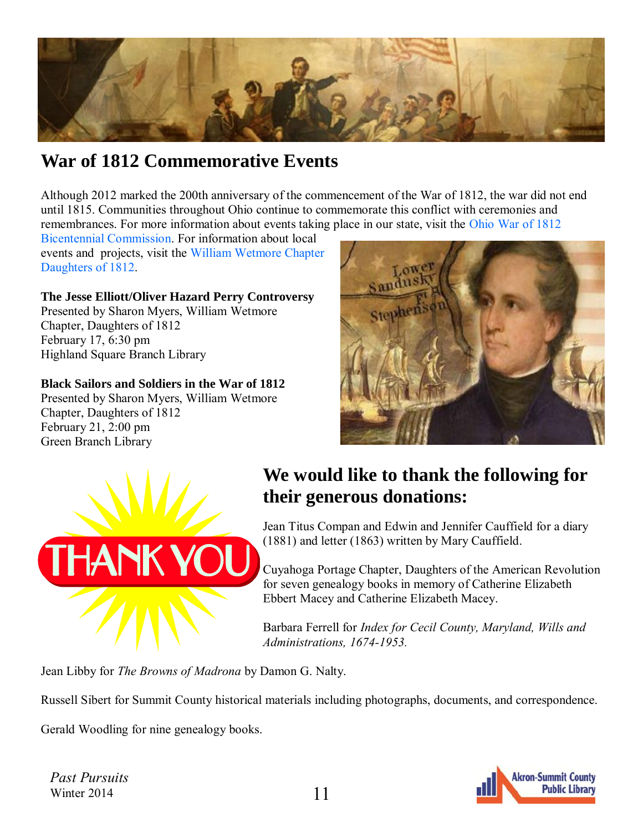<span id="page-10-0"></span>

### **War of 1812 Commemorative Events**

Although 2012 marked the 200th anniversary of the commencement of the War of 1812, the war did not end until 1815. Communities throughout Ohio continue to commemorate this conflict with ceremonies and remembrances. For more information about events taking place in our state, visit the [Ohio War of 1812](http://warof1812.ohio.gov) 

[Bicentennial Commission.](http://warof1812.ohio.gov) For information about local events and projects, visit the [William Wetmore Chapter](http://sharonmyers1.tripod.com)  [Daughters of 1812.](http://sharonmyers1.tripod.com)

**The Jesse Elliott/Oliver Hazard Perry Controversy**  Presented by Sharon Myers, William Wetmore Chapter, Daughters of 1812 February 17, 6:30 pm Highland Square Branch Library

#### **Black Sailors and Soldiers in the War of 1812**

Presented by Sharon Myers, William Wetmore Chapter, Daughters of 1812 February 21, 2:00 pm Green Branch Library





### **We would like to thank the following for their generous donations:**

Jean Titus Compan and Edwin and Jennifer Cauffield for a diary (1881) and letter (1863) written by Mary Cauffield.

Cuyahoga Portage Chapter, Daughters of the American Revolution for seven genealogy books in memory of Catherine Elizabeth Ebbert Macey and Catherine Elizabeth Macey.

Barbara Ferrell for *Index for Cecil County, Maryland, Wills and Administrations, 1674-1953.*

Jean Libby for *The Browns of Madrona* by Damon G. Nalty.

Russell Sibert for Summit County historical materials including photographs, documents, and correspondence.

Gerald Woodling for nine genealogy books.